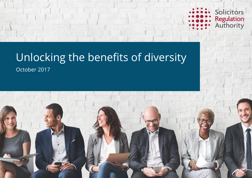

# Unlocking the benefits of diversity

October 2017

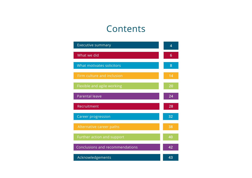## Contents

| <b>Executive summary</b>        | 4  |
|---------------------------------|----|
| What we did                     | 6  |
| What motivates solicitors       | 8  |
| Firm culture and inclusion      | 14 |
| Flexible and agile working      | 20 |
| <b>Parental leave</b>           | 24 |
| Recruitment                     | 28 |
| <b>Career progression</b>       | 32 |
| Alternative career paths        | 38 |
| Further action and support      | 40 |
| Conclusions and recommendations | 42 |
| Acknowledgements                | 43 |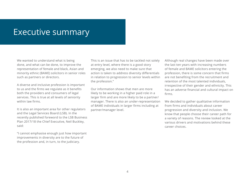## Executive summary

We wanted to understand what is being done, and what can be done, to improve the representation of female and black, Asian and minority ethnic (BAME) solicitors in senior roles such as partners or directors.

A diverse and inclusive profession is important to us and the firms we regulate as it benefits both the providers and consumers of legal services. This is true at all levels of seniority within law firms.

It is also an important area for other regulators and the Legal Services Board (LSB). In the recently published foreword to the LSB Business Plan 2017/18 the Chief Executive, Neil Buckley, said:

"I cannot emphasise enough just how important improvements in diversity are to the future of the profession and, in turn, to the judiciary.

This is an issue that has to be tackled not solely at entry level, where there is a good story emerging, we also need to make sure that action is taken to address diversity differentials in relation to progression to senior levels within the profession."

Our information shows that men are more likely to be working in a higher paid role in a larger firm and are more likely to be a partner/ manager. There is also an under-representation of BAME individuals in larger firms including at partner/manager level.

Although real changes have been made over the last ten years with increasing numbers of female and BAME solicitors entering the profession, there is some concern that firms are not benefiting from the recruitment and retention of the most talented individuals, irrespective of their gender and ethnicity. This has an adverse financial and cultural impact on firms.

We decided to gather qualitative information from firms and individuals about career progression and diversity and inclusion. We know that people choose their career path for a variety of reasons. The review looked at the various drivers and motivations behind these career choices.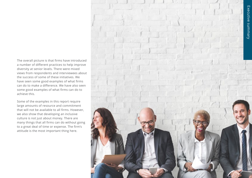The overall picture is that firms have introduced a number of different practices to help improve diversity at senior levels. There were mixed views from respondents and interviewees about the success of some of these initiatives. We have seen some good examples of what firms can do to make a difference. We have also seen some good examples of what firms can do to achieve this.

Some of the examples in this report require large amounts of resource and commitment that will not be available to all firms. However, we also show that developing an inclusive culture is not just about money. There are many things that all firms can do without going to a great deal of time or expense. The firm's attitude is the most important thing here.

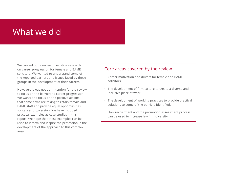## What we did

We carried out a review of existing research on career progression for female and BAME solicitors. We wanted to understand some of the reported barriers and issues faced by these groups in the development of their careers.

However, it was not our intention for the review to focus on the barriers to career progression. We wanted to focus on the positive actions that some firms are taking to retain female and BAME staff and provide equal opportunities for career progression. We have included practical examples as case studies in this report. We hope that these examples can be used to inform and inspire the profession in the development of the approach to this complex area.

### Core areas covered by the review

- Career motivation and drivers for female and BAME solicitors.
- The development of firm culture to create a diverse and inclusive place of work.
- The development of working practices to provide practical solutions to some of the barriers identified.
- How recruitment and the promotion assessment process can be used to increase law firm diversity.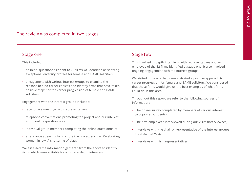## The review was completed in two stages

#### Stage one

This included:

- an initial questionnaire sent to 70 firms we identified as showing exceptional diversity profiles for female and BAME solicitors
- engagement with various interest groups to examine the reasons behind career choices and identify firms that have taken positive steps for the career progression of female and BAME solicitors.

Engagement with the interest groups included:

- face to face meetings with representatives
- telephone conversations promoting the project and our interest group online questionnaire
- individual group members completing the online questionnaire
- attendance at events to promote the project such as 'Celebrating women in law: A shattering of glass'.

We assessed the information gathered from the above to identify firms which were suitable for a more in depth interview.

## Stage two

This involved in-depth interviews with representatives and an employee of the 32 firms identified at stage one. It also involved ongoing engagement with the interest groups.

We visited firms who had demonstrated a positive approach to career progression for female and BAME solicitors. We considered that these firms would give us the best examples of what firms could do in this area.

Throughout this report, we refer to the following sources of information:

- The online survey completed by members of various interest groups (respondents).
- The firm employees interviewed during our visits (interviewees).
- Interviews with the chair or representative of the interest groups (representatives).
- Interviews with firm representatives.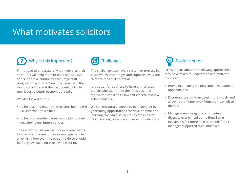## What motivates solicitors

## Why is this important? **?**

Firms need to understand what motivates their staff. This will help them to build an inclusive and supportive culture to encourage staff progression and retention. It will also help them to attract and recruit the best talent which in turn leads to better economic growth.

We also looked at this:

- to help us understand the reasons behind the EDI information we hold
- to help us consider career motivations when developing our future policies.

The review has shown that not everyone wants to progress to a senior role or management in a law firm. However, the option to do so should be freely available for those who want to.



The challenge is to have a system or process in place which encourages and supports everyone to reach their full potential.

It is better for business to have enthusiastic people who want to do their best, as poor motivation can lead to low self-esteem and low self-confidence.

We can encourage people to be motivated by generating opportunities for development and learning. We can also communicate in a way which is clear, objective and easy to understand.



Firms told us about the following approaches they have taken to understand and motivate their staff:

- Providing ongoing training and development opportunities.
- Encouraging staff to network more widely and allowing staff time away from their day job to do this.
- Managers encouraging staff to attend diversity events held at the firm. Some individuals felt more able to attend if their manager supported such initiatives.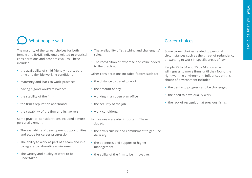## What people said

The majority of the career choices for both female and BAME individuals related to practical considerations and economic values. These included:

- the availability of child friendly hours, part time and flexible working conditions
- maternity and 'back to work' practices
- having a good work/life balance
- the stability of the firm
- the firm's reputation and 'brand'
- the capability of the firm and its lawyers.

Some practical considerations included a more personal element:

- The availability of development opportunities and scope for career progression.
- The ability to work as part of a team and in a collegiate/collaborative environment.
- The variety and quality of work to be undertaken.
- The availability of 'stretching and challenging' roles.
- The recognition of expertise and value added to the practice.

Other considerations included factors such as:

- the distance to travel to work
- the amount of pay
- working in an open plan office
- the security of the job
- work conditions.

Firm values were also important. These included:

- the firm's culture and commitment to genuine diversity
- the openness and support of higher management
- the ability of the firm to be innovative.

## Career choices

Some career choices related to personal circumstances such as the threat of redundancy or wanting to work in specific areas of law.

People 25 to 34 and 35 to 44 showed a willingness to move firms until they found the right working environment. Influences on this choice of environment included:

- the desire to progress and be challenged
- the need to have quality work
- the lack of recognition at previous firms.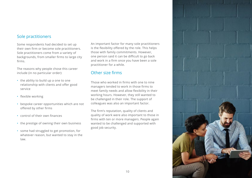### Sole practitioners

Some respondents had decided to set up their own firm or become sole practitioners. Sole practitioners come from a variety of backgrounds, from smaller firms to large city firms.

The reasons why people chose this career include (in no particular order):

- the ability to build up a one to one relationship with clients and offer good service
- flexible working
- bespoke career opportunities which are not offered by other firms
- control of their own finances
- the prestige of owning their own business
- some had struggled to get promotion, for whatever reason, but wanted to stay in the law.

An important factor for many sole practitioners is the flexibility offered by the role. This helps those with family commitments. However, one person said it can be difficult to go back and work in a firm once you have been a sole practitioner for a while.

### Other size firms

Those who worked in firms with one to nine managers tended to work in those firms to meet family needs and allow flexibility in their working hours. However, they still wanted to be challenged in their role. The support of colleagues was also an important factor.

The firm's reputation, quality of clients and quality of work were also important to those in firms with ten or more managers. People again wanted to be challenged and supported with good job security.

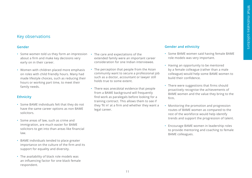## Key observations

#### **Gender**

- Some women told us they form an impression The care and expectations of the about a firm and make key decisions very early on in their career.
- Women with children placed more emphasis on roles with child friendly hours. Many had made lifestyle choices, such as reducing their hours or working part time, to meet their family needs.

#### **Ethnicity**

- Some BAME individuals felt that they do not have the same career options as non BAME solicitors.
- Some areas of law, such as crime and immigration, are much easier for BAME solicitors to get into than areas like financial law.
- BAME individuals tended to place greater importance on the culture of the firm and its support for equality and diversity.
- The availability of black role models was an influencing factor for one black female respondent.
- extended family were an important career consideration for one Indian interviewee.
- The perception that people from the Asian community want to secure a professional job such as a doctor, accountant or lawyer still holds true to some extent.
- There was anecdotal evidence that people from a BAME background will frequently find work as paralegals before looking for a training contract. This allows them to see if they 'fit in' at a firm and whether they want a legal career.

#### **Gender and ethnicity**

- Some BAME women said having female BAME role models was very important.
- Having an opportunity to be mentored by a female colleague (rather than a male colleague) would help some BAME women to build their confidence.
- There were suggestions that firms should proactively recognise the achievements of BAME women and the value they bring to the firm.
- Monitoring the promotion and progression routes of BAME women as compared to the rest of the workforce would help identify trends and support the progression of talent.
- Encourage BAME women in leadership roles to provide mentoring and coaching to female BAME colleagues.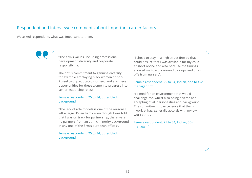### Respondent and interviewee comments about important career factors

We asked respondents what was important to them.

"The firm's values, including professional development, diversity and corporate responsibility.

The firm's commitment to genuine diversity, for example employing black women or non-Russell group educated women…and are there opportunities for these women to progress into senior leadership roles?

#### Female respondent, 25 to 34, other black background

"The lack of role models is one of the reasons I left a large US law firm - even though I was told that I was on track for partnership, there were no partners from an ethnic minority background in any one of the firm's European offices".

Female respondent, 25 to 34, other black background

"I chose to stay in a high street firm so that I could ensure that I was available for my child at short notice and also because the timings allowed me to work around pick ups and drop offs from nursery".

#### Female respondent, 25 to 34, Indian, one to five manager firm

"I aimed for an environment that would challenge me, whilst also being diverse and accepting of all personalities and background. The commitment to excellence that the firm I work at has, generally accords with my own work ethic".

Female respondent, 25 to 34, Indian, 50+ manager firm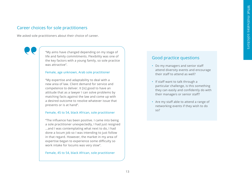## Career choices for sole practitioners

We asked sole practitioners about their choice of career.

"My aims have changed depending on my stage of life and family commitments. Flexibility was one of the key factors with a young family, so sole practice was attractive".

#### Female, age unknown, Arab sole practitioner

"My expertise and adaptability to deal with a new area of law. Client demand for service and competence to deliver. It [is] good to have an attitude that as a lawyer I can solve problems by matching facts against the law and come up with a desired outcome to resolve whatever issue that presents or is at hand".

#### Female, 45 to 54, black African, sole practitioner

"The influence has been positive. I came into being a sole practitioner unexpectedly, I had just resigned ...and I was contemplating what next to do, I had done a locum job so I was intending to just follow in that regard. However, the market in my area of expertise began to experience some difficulty so work intake for locums was very slow".

#### Female, 45 to 54, black African, sole practitioner

### Good practice questions

- Do my managers and senior staff attend diversity events and encourage their staff to attend as well?
- If staff want to talk through a particular challenge, is this something they can easily and confidently do with their managers or senior staff?
- Are my staff able to attend a range of networking events if they wish to do so?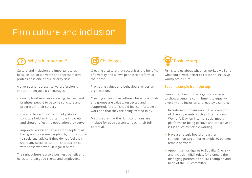## Firm culture and inclusion

#### Why is it important? **?**

Culture and inclusion are important to us because lack of a diverse and representative profession is one of our priority risks.

A diverse and representative profession is important because it encourages:

- quality legal services allowing the best and brightest people to become solicitors and progress in their careers
- the effective administration of justice solicitors hold an important role in society and should reflect the population they serve
- improved access to services for people of all backgrounds - some people might not choose to seek legal advice if they do not feel they share any social or cultural characteristics with those who work in legal services.

The right culture is also a business benefit and helps to retain good clients and employees.



Creating a culture that recognises the benefits of diversity and allows people to perform at their best.

Promoting values and behaviours across an organisation.

Creating an inclusive culture where individuals and groups are valued, respected and supported. All staff should feel comfortable at work and that they are being treated fairly.

Making sure that the right conditions are in place for each person to reach their full potential.



Firms told us about what has worked well and what could work better to create an inclusive workplace culture.

#### **Set an example from the top**

Senior members of the organisation need to show a genuine commitment to equality, diversity and inclusion and lead by example:

- Include senior managers in the promotion of diversity events, such as International Women's Day, on internal social media platforms or being positive and proactive on issues such as flexible working.
- Have a strategic board or partner composition target, for example 30 percent female partners.
- Appoint senior figures to Equality Diversity and Inclusion (EDI) roles, for example the managing partner, as an EDI champion and head of the EDI committee.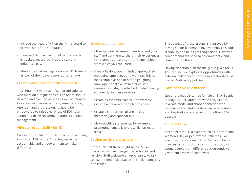- Include the head of HR on the firm's board to provide specific EDI updates.
- Have an EDI objective for all partners which is tracked, measured in appraisals and influences pay.
- Make sure that managers receive EDI training as part of their development programme.

#### **Create a diversity and inclusion board**

This should be made up of senior individuals who meet on a regular basis. The board should develop and oversee policies as well as monitor key areas such as recruitment, remuneration, retention and progression. It should be empowered to raise awareness of EDI, take action and make recommendations to senior management.

#### **Allocate responsibility for EDI**

Give responsibility for EDI to specific individuals, such as an EDI partner/director, make them accountable and empower them to make a difference.

#### **Develop your culture**

- Make genuine attempts to understand your staff and get them to share their experiences. For example, encourage staff to post blogs from which you can learn.
- Have a flexible, open-minded approach to managing employees and working. This can be as simple as senior staff highlighting family/personal events in diaries so it removes any stigma attached to staff leaving work early for these reasons.
- Create a respectful culture; for example, provide a prayer/contemplation room.
- Create a supportive culture through mentoring and sponsorship.
- Make positive statements, for example, promoting female lawyers whilst on maternity leave.

#### **Setting up diversity groups**

Individuals felt these might be based on characteristics such as gender, ethnicity and religion. Staff welcome an opportunity to talk to like-minded individuals with similar concerns and issues.

The success of these groups is improved by having senior leadership involvement. This adds credibility and helps get things done. However, senior managers need to be empathetic and committed to the group.

Having an action plan for the group gives focus. This can include exploring opportunities with external networks or looking in greater detail at the firm's diversity policies.

#### **Have positive role models**

Good role models can be female or BAME senior managers. Ask your staff what they expect in a role model and choose someone who represents this. Role models can be a positive and inspirational statement of the firm's EDI approach.

#### **Think external**

Attend external EDI events such as International Women's Day or join external schemes. For example, the National Citizen Service scheme involves firms hosting a visit from a group of young people from different backgrounds to give them a view of life at work.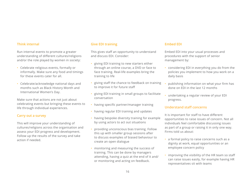#### **Think internal**

Run internal events to promote a greater understanding of different cultures/religions and/or the role played by women in society:

- Celebrate religious events, formally or informally. Make sure any food and timings for these events cater for all.
- Celebrate/acknowledge national days and months such as Black History Month and International Women's Day.

Make sure that actions are not just about celebrating events but bringing these events to life through individual experiences.

#### **Carry out a survey**

This will improve your understanding of cultures/religions across the organisation and assess your EDI progress and development. Follow up the results of the survey and take action if needed.

#### **Give EDI training**

This gives staff an opportunity to understand and discuss EDI. Consider:

- giving EDI training to new starters either through an online course, a DVD or face to face training. Real-life examples bring the training to life
- giving staff the chance to feedback on training to improve it for future staff
- giving EDI training in small groups to facilitate conversation
- having specific partner/manager training
- having regular EDI training and updates
- having bespoke diversity training for example by using actors to act out situations
- providing unconscious bias training. Follow this up with smaller group sessions after to discuss examples of biased behaviour to create an open dialogue
- monitoring and measuring the success of training. This can be done by managers attending, having a quiz at the end of it and/ or monitoring and acting on feedback.

#### **Embed EDI**

Embed EDI into your usual processes and procedures with the support of senior management by:

- considering EDI in everything you do from the policies you implement to how you work on a daily basis
- publishing information on what your firm has done on EDI in the last 12 months
- undertaking a regular review of your EDI progress.

#### **Understand staff concerns**

It is important for staff to have different opportunities to raise issues of concern. Not all individuals feel comfortable discussing issues as part of a group or raising it in only one way. Firms told us about:

- a formal policy to raise concerns such as a dignity at work, equal opportunities or an employee concern policy
- improving the visibility of the HR team so staff can raise issues easily, for example having HR representatives sit with teams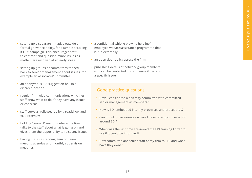- setting up a separate initiative outside a formal grievance policy, for example a 'Calling it Out' campaign. This encourages staff to confront and question minor issues as matters are resolved at an early stage
- setting up groups or committees to feed back to senior management about issues, for example an Associates' Committee
- an anonymous EDI suggestion box in a discreet location
- regular firm-wide communications which let staff know what to do if they have any issues or concerns
- staff surveys, followed up by a roadshow and exit interviews
- holding 'connect' sessions where the firm talks to the staff about what is going on and gives them the opportunity to raise any issues
- having EDI as a standing item on team meeting agendas and monthly supervision meetings
- a confidential whistle blowing helpline/ employee welfare/assistance programme that is run externally
- an open door policy across the firm
- publishing details of network group members who can be contacted in confidence if there is a specific issue.

## Good practice questions

- Have I considered a diversity committee with committed senior management as members?
- How is EDI embedded into my processes and procedures?
- Can I think of an example where I have taken positive action around EDI?
- When was the last time I reviewed the EDI training I offer to see if it could be improved?
- How committed are senior staff at my firm to EDI and what have they done?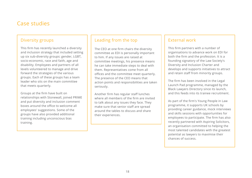## Case studies

## Diversity groups

This firm has recently launched a diversity and inclusion strategy that included setting up six sub-diversity groups: gender, LGBT, socio-economic, race and faith, age and disability. Employees and partners of all levels volunteered to manage and drive forward the strategies of the various groups. Each of these groups has a team leader who sits on the main committee that meets quarterly.

Groups at the firm have built on relationships with Stonewall, joined PRIME and put diversity and inclusion comment boxes around the office to welcome all employees' suggestions. Some of the groups have also provided additional training including unconscious bias training.

## Leading from the top

The CEO at one firm chairs the diversity committee as EDI is personally important to him. If any issues are raised at committee meetings, his presence means he can take immediate steps to deal with them. Representatives come from all offices and the committee meet quarterly. The presence of the CEO means that action points and responsibilities are taken seriously.

Another firm has regular staff lunches where all members of the firm are invited to talk about any issues they face. They make sure that senior staff are spread around the tables to discuss and share their experiences.

## External work

This firm partners with a number of organisations to advance work on EDI for both the firm and the profession. It is a founding signatory of the Law Society's Diversity and Inclusion Charter and develops and supports initiatives to attract and retain staff from minority groups.

The firm has been involved in the Legal Launch Pad programme, managed by the Black Lawyers Directory since its launch, and this feeds into its trainee recruitment.

As part of the firm's Young People in Law programme, it supports UK schools by providing career guidance, mock interviews and skills sessions with opportunities for employees to participate. The firm has also recently partnered with Aspiring Solicitors, an organisation committed to helping the most talented candidates with the greatest potential as lawyers to maximise their chances of success.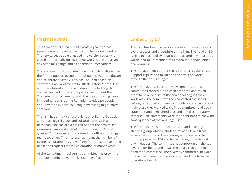### Internal events

This firm does around 60 EDI events a year and has several network groups. Each group has its own budget. They try to get people engaged in diversity issues who would not normally do so. The networks can work as an advocate for change and as a feedback mechanism.

There is a multicultural network with a high profile within the firm. It puts on events throughout the year to educate and celebrate diversity. This has included a fashion show for Diwali and events for Black History Month. One employee talked about the history of the Notting Hill carnival and got some of the performers to visit the firm. The network also came up with the idea of putting cards in meeting rooms during Ramadan to educate people about what to expect, including how fasting might affect someone.

The firm has a multicultural calendar built into Outlook which has key religious and cultural dates such as Ramadan. The social events calendar at the firm raises awareness amongst staff of different religious/social groups. This creates a buzz around the office and brings teams together. This interest has meant the number of events celebrated has grown from four to 16 per year and has led to requests for the celebration of more events.

At the same time, the diversity committee has grown from 10 to 30 members over the last couple of years.

## Embedding EDI

This firm has begun a complete root and branch review of every process and procedure at the firm. The head of EDI is reading each policy to strip out bias and any measures which lead to unintended results around opportunities and rewards.

The management board discuss EDI on a regular basis. Support is provided to HR and the firm's networks through the firm's budget.

The firm has an associate review committee. This committee reached out to each associate and asked them to provide a list of the senior colleagues they work with. The committee then contacted the senior colleagues and asked them to provide a statement about individuals they worked with. The committee read each statement and highlighted bias and any discriminatory remarks. The statements were then sent back to show the consequences of the language used.

The firm has also set up an inclusion and diversity steering group which includes staff at all levels from across the business. The steering group reviews the firm's approach to EDI and is the driving force behind any initiatives. The committee has support from the top level senior board and it was the board that identified the need for a committee. The diversity committee includes one partner from the strategy board and one from the operations board.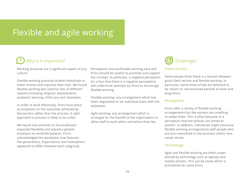## Flexible and agile working

#### Why is it important? **?**

Working practices are a significant aspect of any culture.

Flexible working practices enable individuals to make choices and organise their lives. We found flexible working was used for lots of different reasons including religious requirements, academic learning, child care and relaxation.

In order to work effectively, firms must place an emphasis on the outcomes achieved by fee earners rather than the process. A rigid approach to process is likely to be unfair.

We found new entrants to the profession expected flexibility and placed a greater emphasis on work/life balance. Firms acknowledged the workplace now features five generations. Expectations and motivations appeared to differ between each subgroup.

Perceptions around flexible working vary and firms should be careful to promote and support the concept. In particular, a negative perception (or a fear that there is a negative perception) will undermine attempts by firms to encourage flexible working.

Flexible working: any arrangement which has been negotiated on an individual basis with the employee.

Agile working: any arrangement which is arranged for the benefit of the organisation to allow staff to work when and where they like.



#### **Client service**

Some people think there is a tension between good client service and flexible working. In particular, some areas of law are believed to be reliant on concentrated periods of work and long hours.

#### **Perceptions**

Firms offer a variety of flexible working arrangements but fee earners are unwilling to adopt them. This is often because of a perception that the policies are aimed at women. In addition, individuals might associate flexible working arrangements with people who are less committed to the business and/or less career driven.

#### **Technology**

Agile and flexible working are often underpinned by technology such as laptops and mobile phones. This can be costly which is prohibitive for some firms.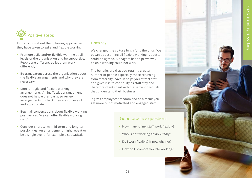

Firms told us about the following approaches they have taken to agile and flexible working:

- Promote agile and/or flexible working at all levels of the organisation and be supportive. People are different, so let them work differently.
- Be transparent across the organisation about the flexible arrangements and why they are necessary.
- Monitor agile and flexible working arrangements. An ineffective arrangement does not help either party, so review arrangements to check they are still useful and appropriate.
- Begin all conversations about flexible working positively eg "we can offer flexible working if we…"
- Consider short-term, mid-term and long-term possibilities. An arrangement might repeat or be a single event, for example a sabbatical.

#### **Firms say**

We changed the culture by shifting the onus. We began by assuming all flexible working requests could be agreed. Managers had to prove why flexible working could not work.

The benefits are that you retain a greater number of people especially those returning from maternity leave. It helps you attract staff and gives rise to continuity as staff stay and therefore clients deal with the same individuals that understand their business.

It gives employees freedom and as a result you get more out of motivated and engaged staff.

## Good practice questions

- How many of my staff work flexibly?
- Who is not working flexibly? Why?
- Do I work flexibly? If not, why not?
- How do I promote flexible working?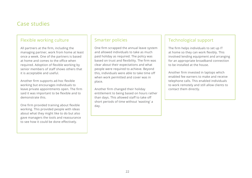## Case studies

## Flexible working culture

All partners at the firm, including the managing partner, work from home at least once a week. One of the partners is based at home and comes to the office when required. Adoption of flexible working by senior members of staff shows others that it is acceptable and useful.

Another firm supports ad-hoc flexible working but encourages individuals to leave private appointments open. The firm said it was important to be flexible and to demonstrate this.

One firm provided training about flexible working. This provided people with ideas about what they might like to do but also gave managers the tools and reassurance to see how it could be done effectively.

## Smarter policies

One firm scrapped the annual leave system and allowed individuals to take as much paid holiday as required. The policy was based on trust and flexibility. The firm was clear about their expectations and what people were required to achieve. Beyond this, individuals were able to take time off when work permitted and cover was in place.

Another firm changed their holiday entitlement to being based on hours rather than days. This allowed staff to take off short periods of time without 'wasting' a day.

## Technological support

The firm helps individuals to set up IT at home so they can work flexibly. This involved lending equipment and arranging for an appropriate broadband connection to be installed at the house.

Another firm invested in laptops which enabled fee earners to make and receive telephone calls. This enabled individuals to work remotely and still allow clients to contact them directly.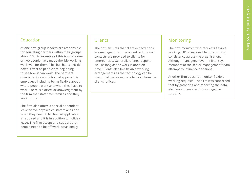## Education

At one firm group leaders are responsible for educating partners within their groups about EDI. An example of this is where one or two people have made flexible working work well for them. This has had a 'trickle down' effect as people are beginning to see how it can work. The partners offer a flexible and informal approach to employees including being flexible about where people work and when they have to work. There is a direct acknowledgment by the firm that staff have families and they are important.

The firm also offers a special dependent leave of five days which staff take as and when they need it. No formal application is required and it is in addition to holiday leave. The firm accept and support that people need to be off work occasionally

## **Clients**

The firm ensures that client expectations are managed from the outset. Additional contacts are provided to clients for emergencies. Generally clients respond well as long as the work is done on time. Clients also like flexible working arrangements as the technology can be used to allow fee earners to work from the clients' offices.

## Monitoring

The firm monitors who requests flexible working. HR is responsible for ensuring consistency across the organisation. Although managers have the final say, members of the senior management team attempt to influence decisions.

Another firm does not monitor flexible working requests. The firm was concerned that by gathering and reporting the data, staff would perceive this as negative scrutiny.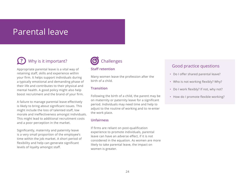## Parental leave

#### Why is it important? **?**

Appropriate parental leave is a vital way of retaining staff, skills and experience within your firm. It helps support individuals during a typically emotional and demanding phase of their life and contributes to their physical and mental health. A good policy might also help boost recruitment and the brand of your firm.

A failure to manage parental leave effectively is likely to bring about significant issues. This might include the loss of talented staff, low morale and ineffectiveness amongst individuals. This might lead to additional recruitment costs and a poor perception in the market.

Significantly, maternity and paternity leave is a very small proportion of the employee's time within the job market. A short period of flexibility and help can generate significant levels of loyalty amongst staff.



#### **Staff retention**

Many women leave the profession after the birth of a child.

#### **Transition**

Following the birth of a child, the parent may be on maternity or paternity leave for a significant period. Individuals may need time and help to adjust to the routine of working and to re-enter the work place.

#### **Unfairness**

If firms are reliant on post-qualification experience to promote individuals, parental leave can have an adverse effect, if it is not considered in the equation. As women are more likely to take parental leave, the impact on women is greater.

## Good practice questions

- Do I offer shared parental leave?
- Who is not working flexibly? Why?
- Do I work flexibly? If not, why not?
- How do I promote flexible working?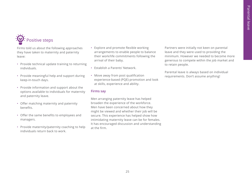## Positive steps

Firms told us about the following approaches they have taken to maternity and paternity leave:

- Provide technical update training to returning individuals.
- Provide meaningful help and support during keep-in-touch days.
- Provide information and support about the options available to individuals for maternity and paternity leave.
- Offer matching maternity and paternity benefits.
- Offer the same benefits to employees and managers.
- Provide maternity/paternity coaching to help individuals return back to work.
- Explore and promote flexible working arrangements to enable people to balance their work/life commitments following the arrival of their baby.
- Establish a Parents' Network.
- Move away from post qualification experience-based (PQE) promotion and look at skills, experience and ability.

#### **Firms say**

Men arranging paternity leave has helped broaden the experience of the workforce. Men have been concerned about how they might be viewed and whether their job will be secure. This experience has helped show how intimidating maternity leave can be for females. It has encouraged discussion and understanding at the firm.

Partners were initially not keen on parental leave and they were used to providing the minimum. However we needed to become more generous to compete within the job market and to retain people.

Parental leave is always based on individual requirements. Don't assume anything!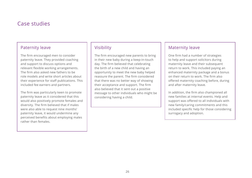## Case studies

## Paternity leave

The firm encouraged men to consider paternity leave. They provided coaching and support to discuss options and relevant flexible working arrangements. The firm also asked new fathers to be role models and write short articles about their experience for staff publications. This included fee earners and partners.

The firm was particularly keen to promote paternity leave as it considered that this would also positively promote females and diversity. The firm believed that if males were also able to request nine months' paternity leave, it would undermine any perceived benefits about employing males rather than females.

## **Visibility**

The firm encouraged new parents to bring in their new baby during a keep-in-touch day. The firm believed that celebrating the birth of a new child and having an opportunity to meet the new baby helped reassure the parent. The firm considered that there was no better way of showing their acceptance and support. The firm also believed that it sent out a positive message to other individuals who might be considering having a child.

## Maternity leave

One firm had a number of strategies to help and support solicitors during maternity leave and their subsequent return to work. This included paying an enhanced maternity package and a bonus on their return to work. The firm also offered maternity coaching before, during and after maternity leave.

In addition, the firm also championed all new families at internal events. Help and support was offered to all individuals with new family/caring commitments and this included specific help for those considering surrogacy and adoption.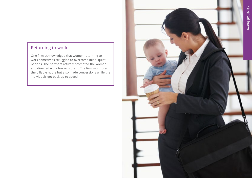## Returning to work

One firm acknowledged that women returning to work sometimes struggled to overcome initial quiet periods. The partners actively promoted the women and directed work towards them. The firm monitored the billable hours but also made concessions while the individuals got back up to speed.

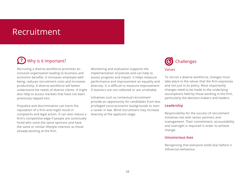## Recruitment

## Why is it important? **?**

Recruiting a diverse workforce promotes an inclusive organisation leading to business and economic benefits. It increases employee wellbeing, reduces recruitment costs and increases productivity. A diverse workforce will better understand the needs of diverse clients. It might also help to access markets that have not been previously tapped into.

Prejudice and discrimination can harm the reputation of a firm and might result in complaints and legal action. It can also reduce a firm's competitive edge if people are continually hired who voice the same opinions and have the same or similar lifestyle interests as those already working at the firm.

Monitoring and evaluation supports the implementation of policies and can help to assess progress and impact. It helps measure performance and improvement on equality and diversity. It is difficult to measure improvement if statistics are not collected or are unreliable.

Initiatives such as contextual recruitment provide an opportunity for candidates from less privileged socio-economic backgrounds to start a career in law. Blind recruitment may increase diversity at the applicant stage.



To recruit a diverse workforce, changes must take place in the values that the firm expresses and not just in its policy. Most importantly changes need to be made to the underlying assumptions held by those working in the firm, particularly the decision-makers and leaders.

#### **Leadership**

Responsibility for the success of recruitment initiatives lies with senior partners and management. Their commitment, accountability and oversight is required in order to achieve change.

#### **Unconscious bias**

Recognising that everyone holds bias before it influences behaviour.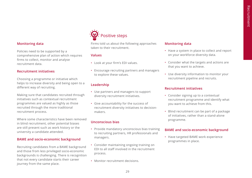#### **Monitoring data**

Policies need to be supported by a comprehensive plan of action which requires firms to collect, monitor and analyse recruitment data.

#### **Recruitment initiatives**

Choosing a programme or initiative which helps to increase diversity and being open to a different way of recruiting.

Making sure that candidates recruited through initiatives such as contextual recruitment programmes are valued as highly as those recruited through the more traditional recruitment process.

Where some characteristics have been removed in blind recruitment, other potential biases are still present such as work history or the university a candidate attended.

#### **BAME and socio-economic background**

Recruiting candidates from a BAME background and those from less privileged socio-economic backgrounds is challenging. There is recognition that not every candidate starts their career journey from the same place.

## Positive steps

Firms told us about the following approaches taken to their recruitment.

#### **Values**

- Look at your firm's EDI values.
- Encourage recruiting partners and managers to explore these values.

#### **Leadership**

- Use partners and managers to support diversity recruitment initiatives.
- Give accountability for the success of recruitment diversity initiatives to decisionmakers.

#### **Unconscious bias**

- Provide mandatory unconscious bias training to recruiting partners, HR professionals and managers.
- Consider maintaining ongoing training on EDI to all staff involved in the recruitment process.
- Monitor recruitment decisions.

#### **Monitoring data**

- Have a system in place to collect and report on your workforce diversity data.
- Consider what the targets and actions are that you want to achieve.
- Use diversity information to monitor your recruitment pipeline and recruits.

#### **Recruitment initiatives**

- Consider signing up to a contextual recruitment programme and identify what you want to achieve from this.
- Blind recruitment can be part of a package of initiatives, rather than a stand-alone programme.

#### **BAME and socio-economic background**

• Have targeted BAME work experience programmes in place.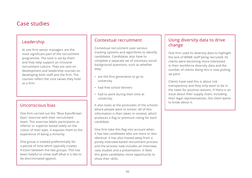## Case studies

### Leadership

At one firm senior managers are the most significant part of the recruitment programme. The tone is set by them and they help support an inclusive recruitment culture. They are sent on development and leadership courses on developing both staff and the firm. The courses reflect the core values they hold as a firm.

## Unconscious bias

One firm carried out the "Blue Eyes/Brown Eyes" exercise with their recruitment team. This exercise labels participants as inferior or superior based solely on the colour of their eyes. It exposes them to the experience of being a minority.

One group is treated preferentially for a period of time which typically creates friction between the two groups. This has been helpful to show staff what it is like to be discriminated against.

## Contextual recruitment

Contextual recruitment uses various tracking systems and algorithms to identify candidates. Candidates also have to complete a separate set of voluntary social background questions, such as whether they:

- are the first generation to go to university
- had free school dinners
- had to work during their time at university.

It also looks at the postcodes of the schools where people went to school. All of this information is then taken in context, which produces a flag or premium rating for each candidate.

One firm take this flag into account when it has two candidates who are more or less identical. It has also moved away from a purely interview-based recruitment process and the process now includes an interview, case studies and a presentation. It feels this gives candidates more opportunity to show their skills.

## Using diversity data to drive change

One firm used its diversity data to highlight the lack of BAME staff being recruited. Its clients were becoming more interested in their workforce diversity data and the number of clients doing this is now picking up pace.

Clients have said this is about risk transparency and they only want to be in the news for positive reasons. If there is an issue about their supply chain, including their legal representatives, the client wants to know about it.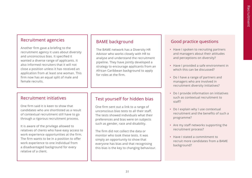### Recruitment agencies

Another firm gave a briefing to the recruitment agency it uses about diversity and unconscious bias. It specified it wanted a diverse range of applicants. It also informed recruiters that it will not close a position unless it has received an application from at least one woman. This firm now has an equal split of male and female recruits.

## BAME background

The BAME network has a Diversity HR Advisor who works closely with HR to analyse and understand the recruitment pipeline. They have jointly developed a strategy to encourage applicants from an African Caribbean background to apply for roles at the firm.

## Recruitment initiatives

One firm said it is keen to show that candidates who are shortlisted as a result of contextual recruitment still have to go through a rigorous recruitment process.

It is aware of the privilege allowed to relatives of clients who have easy access to work experience opportunities at the firm. The firm wants to be in a position to offer work experience to one individual from a disadvantaged background for every relative of a client.

## Test yourself for hidden bias

One firm sent out a link to a range of unconscious bias tests to all their staff. The tests showed individuals what their preferences and bias were on subjects such as gender, race and disability.

The firm did not collect the data or monitor who took these tests. It was simply an opportunity to show that everyone has bias and that recognising this bias is the key to changing behaviour.

## Good practice questions

- Have I spoken to recruiting partners and managers about their attitudes and perceptions on diversity?
- Have I provided a safe environment in which this can be discussed?
- Do I have a range of partners and managers who are involved in recruitment diversity initiatives?
- Do I provide information on initiatives such as contextual recruitment to staff?
- Do I explain why I use contextual recruitment and the benefits of such a programme?
- Are my staff networks supporting the recruitment process?
- Have I stated a commitment to recruit more candidates from a BAME background?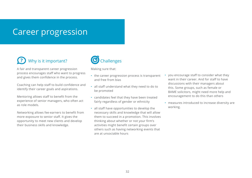## Career progression

#### Why is it important? **?**

A fair and transparent career progression process encourages staff who want to progress and gives them confidence in the process.

Coaching can help staff to build confidence and identify their career goals and aspirations.

Mentoring allows staff to benefit from the experience of senior managers, who often act as role models.

Networking allows fee-earners to benefit from more exposure to senior staff. It gives the opportunity to meet new clients and develop their business skills and knowledge.



Making sure that:

- the career progression process is transparent and free from bias
- all staff understand what they need to do to be promoted
- candidates feel that they have been treated fairly regardless of gender or ethnicity
- all staff have opportunities to develop the necessary skills and knowledge that will allow them to succeed in a promotion. This involves thinking about whether or not your firm's activities might benefit certain groups over others such as having networking events that are at unsociable hours
- you encourage staff to consider what they want in their career. And for staff to have discussions with their managers about this. Some groups, such as female or BAME solicitors, might need more help and encouragement to do this than others
- measures introduced to increase diversity are working.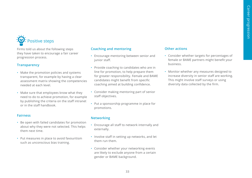## Positive steps

Firms told us about the following steps they have taken to encourage a fair career progression process.

#### **Transparency**

- Make the promotion policies and systems transparent, for example by having a clear assessment matrix showing the competencies needed at each level.
- Make sure that employees know what they need to do to achieve promotion, for example by publishing the criteria on the staff intranet or in the staff handbook.

#### **Fairness**

- Be open with failed candidates for promotion about why they were not selected. This helps them next time.
- Put measures in place to avoid favouritism such as unconscious bias training.

### **Coaching and mentoring**

- Encourage mentoring between senior and junior staff.
- Provide coaching to candidates who are in line for promotion, to help prepare them for greater responsibility. Female and BAME candidates might benefit from specific coaching aimed at building confidence.
- Consider making mentoring part of senior staff objectives.
- Put a sponsorship programme in place for promotions.

#### **Networking**

- Encourage all staff to network internally and externally.
- Involve staff in setting up networks, and let them run them.
- Consider whether your networking events are likely to exclude anyone from a certain gender or BAME background.

#### **Other actions**

- Consider whether targets for percentages of female or BAME partners might benefit your business.
- Monitor whether any measures designed to increase diversity in senior staff are working. This might involve staff surveys or using diversity data collected by the firm.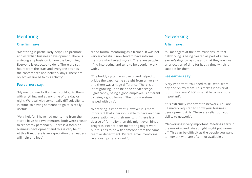### Mentoring

#### **One firm says:**

"Mentoring is particularly helpful to promote and establish business development. There is a strong emphasis on it from the beginning. Everyone is expected to do it. There are set hours from the start and everyone attends the conferences and network days. There are objectives linked to this activity".

#### **Fee earners say:**

"My mentor was brilliant as I could go to them with anything and at any time of the day or night. We deal with some really difficult clients in crime so having someone to go to is really useful".

"Very helpful. I have had mentoring from the start. I have had two mentors, both were chosen to reflect my personality. There is a focus on business development and this is very helpful. At this firm, there is an expectation that leaders will help and lead".

"I had formal mentoring as a trainee. It was not very successful. I now tend to have informal mentors who I select myself. There are people I find interesting and tend to be people I work with".

"The buddy system was useful and helped to bridge the gap. I came straight from university and there was a huge difference. There is a lot of growing up to be done at each stage. Significantly, being a good employee is different to being a good lawyer. The buddy system helped with this".

"Mentoring is important. However it is more important that a person is able to have an open conversation with their mentor. If there is a degree of formality then this might even hinder progress. Peer to peer mentoring might work but this has to be with someone from the same team or department. Distant/email mentoring relationships rarely work".

#### Networking

#### **A firm says:**

"All managers at the firm must ensure that networking is being treated as part of a feeearner's day-to-day role and that they are given an allocation of time for it, at a time which is suitable for them".

#### **Fee earners say:**

"Very important. You need to sell work from day one on my team. This makes it easier at four to five years' PQE when it becomes more important".

"It is extremely important to network. You are ultimately required to show your business development skills. These are reliant on your ability to network".

"Networking is very important. Meetings early in the morning and late at night might put women off. This can be difficult as the people you want to network with are often not available".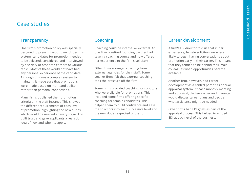## Case studies

## **Transparency**

One firm's promotion policy was specially designed to prevent favouritism. Under this system, candidates for promotion needed to be selected, considered and interviewed by a variety of other fee earners of various ranks. Most of these would not have had any personal experience of the candidate. Although this was a complex system to maintain, it made sure that promotions were made based on merit and ability rather than personal connections.

Many firms published their promotion criteria on the staff intranet. This showed the different requirements of each level of promotion, highlighting the new duties which would be needed at every stage. This built trust and gave applicants a realistic idea of how and when to apply.

## Coaching

Coaching could be internal or external. At one firm, a retired founding partner had taken a coaching course and now offered her experience to the firm's solicitors.

Other firms arranged coaching from external agencies for their staff. Some smaller firms felt that external coaching took the pressure off the firm.

Some firms provided coaching for solicitors who were eligible for promotions. This included some firms offering specific coaching for female candidates. This helped them to build confidence and ease the solicitors into each successive level and the new duties expected of them.

## Career development

A firm's HR director told us that in her experience, female solicitors were less likely to begin having conversations about promotion early in their career. This meant that they tended to be behind their male colleagues when opportunities became available.

Another firm, however, had career development as a central part of its annual appraisal system. At each monthly meeting and appraisal, the fee earner and manager would discuss career plans and decide what assistance might be needed.

Other firms had EDI goals as part of the appraisal process. This helped to embed EDI at each level of the business.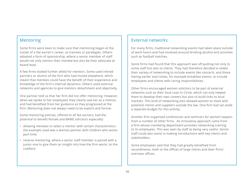## Mentoring

Some firms were keen to make sure that mentoring began at the outset of a fee earner's career, as trainees or paralegals. Others adopted a form of sponsorship, where a senior member of staff would not only mentor their mentee but also be their advocate at board level.

A few firms looked further afield for mentors. Some used retired partners or alumni of the firm who had moved elsewhere, which meant that mentees could have the benefit of their experience and knowledge of the firm's internal dynamics. Others used external networks and agencies to give mentors detachment and objectivity.

One partner told us that her firm did not offer mentoring. However, when we spoke to her employees they clearly saw her as a mentor, and had benefited from her guidance as they progressed at the firm. Mentoring does not always need to be explicit and formal.

Some mentoring policies, offered to all fee earners, had the potential to benefit female and BAME solicitors especially:

- allowing mentees to select a mentor with certain characteristics the example used was a woman partner with children who works part-time
- reverse mentoring, where a senior staff member is paired with a junior one to give them an insight into how the firm works 'at the coalface'.

## External networks

For many firms, traditional networking events had taken place outside of work hours and had revolved around drinking alcohol and activities such as football matches.

Some firms had found that this approach was off-putting not only to some staff but also to clients. They had therefore decided to widen their variety of networking to include events like concerts, and those having earlier start times, for example breakfast events, to include employees and clients with caring responsibilities.

Other firms encouraged women solicitors to be part of external networks such as their local Lean In Circle, which not only helped them to develop their own careers but also to build links to local markets. This kind of networking also allowed women to meet with potential clients and suppliers outside the law. One firm had set aside a separate budget for this activity.

Another firm organised conferences and seminars for women lawyers from a number of other firms. An innovative approach came from a firm whose marketing department provides networking training to its employees. This was seen by staff as being very useful. Senior staff could also assist in making introductions with key clients and stakeholders.

Some employees said that they had greatly benefited from secondments, both to the offices of large clients and their firms' overseas offices.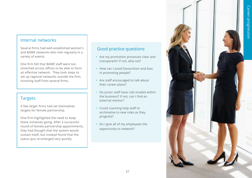## Internal networks

Several firms had well-established women's and BAME networks who met regularly in a variety of events.

One firm felt that BAME staff were too stretched across offices to be able to form an effective network. They took steps to set up regional networks outside the firm, involving staff from several firms.

## Targets

A few larger firms had set themselves targets for female partnership.

One firm highlighted the need to keep these initiatives going. After a successful round of female partnership appointments, they had thought that the system would sustain itself, but instead found that the status quo re-emerged very quickly.

## Good practice questions

- Are my promotion processes clear and transparent? If not, why not?
- How can I avoid favouritism and bias in promoting people?
- Are staff encouraged to talk about their career plans?
- Do junior staff have role models within the business? If not, can I find an external mentor?
- Could coaching help staff to acclimatise to new roles as they progress?
- Do I give all of my employees the opportunity to network?

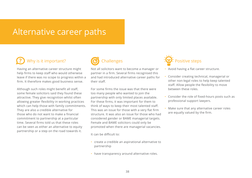## Alternative career paths

#### Why is it important? **?**

Having an alternative career structure might help firms to keep staff who would otherwise leave if there was no scope to progress within a firm. It therefore makes good business sense.

Although such roles might benefit all staff, some female solicitors said they found these attractive. They give recognition whilst often allowing greater flexibility in working practices which can help those with family commitments. They are also a credible alternative for those who do not want to make a financial commitment to partnership at a particular time. Several firms told us that these roles can be seen as either an alternative to equity partnership or a step on the road towards it.

## **Challenges**

Not all solicitors want to become a manager or partner in a firm. Several firms recognised this and had introduced alternative career paths for their staff.

For some firms the issue was that there were too many people who wanted to join the partnership with only limited places available. For these firms, it was important for them to think of ways to keep their most talented staff. This was an issue for those with a very flat firm structure. It was also an issue for those who had considered gender or BAME managerial targets. Female and BAME solicitors could only be promoted when there are managerial vacancies.

It can be difficult to:

- create a credible an aspirational alternative to partnership
- have transparency around alternative roles.



- Avoid having a flat career structure.
- Consider creating technical, managerial or other non-legal roles to help keep talented staff. Allow people the flexibility to move between these roles.
- Consider the role of fixed-hours posts such as professional support lawyers.
- Make sure that any alternative career roles are equally valued by the firm.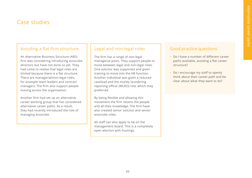## Case studies

## Avoiding a flat firm structure

An Alternative Business Structure (ABS) firm was considering introducing associate directors but have not done so yet. They had come to realise that legal roles are limited because there is a flat structure. There are managerial/non-legal roles, for example team leaders and contract managers. The firm also support people moving across the organisation.

Another firm had set up an alternative career working group that has considered alternative career paths. As a result, they had recently introduced the role of managing associate.

## Legal and non-legal roles

The firm has a range of non-legal managerial posts. They support people to move between legal and non-legal roles. One solicitor was supported and given training to move into the HR function. Another individual was given a reduced caseload and the money laundering reporting officer (MLRO) role, which they preferred.

By being flexible and allowing this movement the firm retains the people and all their knowledge. The firm have also created senior solicitor and senior associate roles.

All staff can also apply to be on the management board. This is a completely open election with hustings.

## Good practice questions

- Do I have a number of different career paths available, avoiding a flat career structure?
- Do I encourage my staff to openly think about their career path and be clear about what they want to do?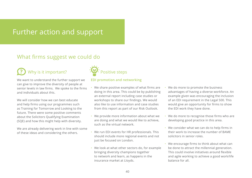## Further action and support

## What firms suggest we could do

#### Why is it important? **?**

We want to understand the further support we can give to improve the diversity of people at senior levels in law firms. We spoke to the firms and individuals about this.

We will consider how we can best educate and help firms using our programmes such as Training for Tomorrow and Looking to the future. There were some positive comments about the Solicitors Qualifying Examination (SQE) and how this might help with diversity.

We are already delivering work in line with some of these ideas and considering the others.



#### **EDI promotion and networking**

- We share positive examples of what firms are doing in this area. This could be by publishing an external report including case studies or workshops to share our findings. We would also like to use information and case studies from this report as part of our Risk Outlook.
- We provide more information about what we are doing and what we would like to achieve, such as the virtual network.
- We run EDI events for HR professionals. This should include more regional events and not just be focused on London.
- We look at what other sectors do, for example bringing diversity champions together to network and learn, as happens in the insurance market at Lloyds.
- We do more to promote the business advantages of having a diverse workforce. An example given was encouraging the inclusion of an EDI requirement in the Legal 500. This would give an opportunity for firms to show the EDI work they have done.
- We do more to recognise those firms who are developing good practice in this area.
- We consider what we can do to help firms in their work to increase the number of BAME solicitors in senior roles.
- We encourage firms to think about what can be done to attract the millennial generation. This could involve initiatives around flexible and agile working to achieve a good work/life balance for all.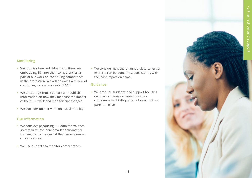#### **Monitoring**

- We monitor how individuals and firms are embedding EDI into their competencies as part of our work on continuing competence in the profession. We will be doing a review of continuing competence in 2017/18.
- We encourage firms to share and publish information on how they measure the impact of their EDI work and monitor any changes.
- We consider further work on social mobility.

#### **Our information**

- We consider producing EDI data for trainees so that firms can benchmark applicants for training contracts against the overall number of applications.
- We use our data to monitor career trends.

• We consider how the bi-annual data collection exercise can be done most consistently with the least impact on firms.

#### **Guidance**

• We produce guidance and support focusing on how to manage a career break as confidence might drop after a break such as parental leave.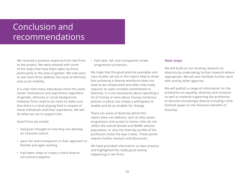## Conclusion and recommendations

We received a positive response from law firms to the project. We were pleased with some of the steps that have been taken by firms, particularly in the area of gender. We now want to see more firms address the issue of ethnicity and social mobility.

It is clear that many individuals share the same career motivations and aspirations regardless of gender, ethnicity or social background. However firms need to do more to make sure that there is a level playing field in respect of these individuals and their aspirations. We will do what we can to support this.

Good firms we visited:

- had given thought to how they can develop an inclusive culture
- were fair and transparent in their approach to flexible and agile working
- had taken steps to create a more diverse recruitment pipeline

• had clear, fair and transparent career progression processes.

We hope that the good practice examples and case studies set out in this report help to show that achieving a diverse workforce does not have to be complicated and often only really requires an open-minded commitment to diversity. It is not necessarily about spending a lot of money or even about having numerous policies in place, but simply a willingness to enable and be an enabler for change.

There are areas of diversity which this report does not address, such as why career progression and access to senior roles do not reflect the overall female and BAME solicitor population, or why the diversity profile of the profession looks the way it does. These points require further analysis and discussion.

We have provided information on best practice and highlighted the really good activity happening in law firms.

#### **Next steps**

We will build on our existing research on diversity by undertaking further research where appropriate. We will also facilitate further work with and by other agencies.

We will publish a range of information for the profession on equality, diversity and inclusion as well as material supporting the profession to become increasingly diverse including a Risk Outlook paper on the 'business benefits of diversity'.